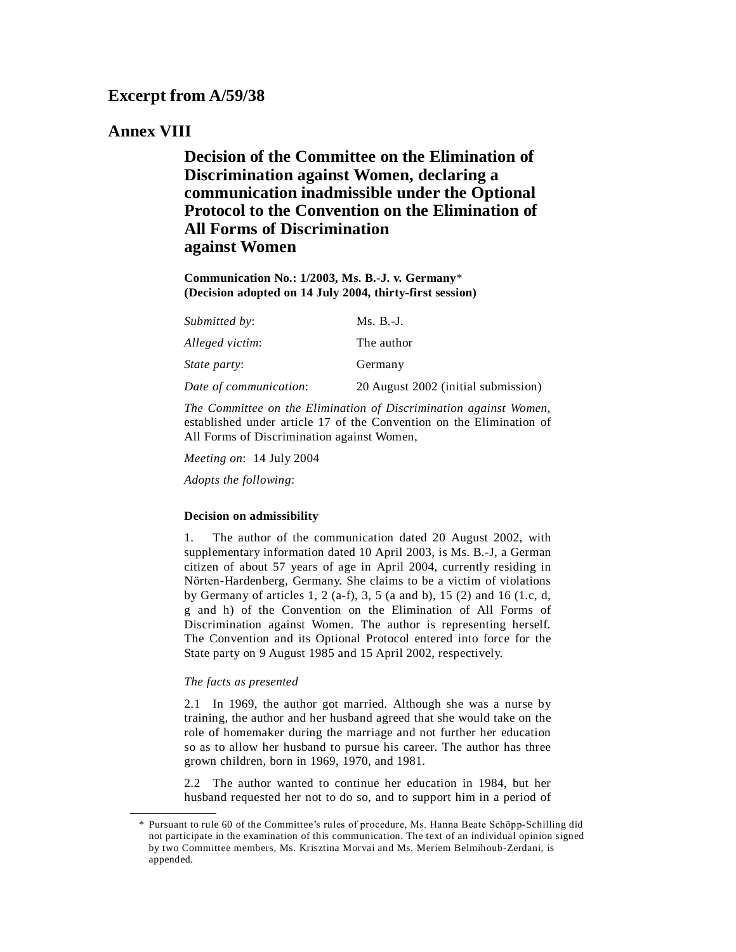# **Excerpt from A/59/38**

# **Annex VIII**

**Decision of the Committee on the Elimination of Discrimination against Women, declaring a communication inadmissible under the Optional Protocol to the Convention on the Elimination of All Forms of Discrimination against Women**

**Communication No.: 1/2003, Ms. B.-J. v. Germany**\* **(Decision adopted on 14 July 2004, thirty-first session)**

| Submitted by:          | $Ms. B.-J.$                         |
|------------------------|-------------------------------------|
| Alleged victim:        | The author                          |
| <i>State party:</i>    | Germany                             |
| Date of communication: | 20 August 2002 (initial submission) |

*The Committee on the Elimination of Discrimination against Women*, established under article 17 of the Convention on the Elimination of All Forms of Discrimination against Women,

*Meeting on*: 14 July 2004

*Adopts the following*:

### **Decision on admissibility**

1. The author of the communication dated 20 August 2002, with supplementary information dated 10 April 2003, is Ms. B.-J, a German citizen of about 57 years of age in April 2004, currently residing in Nörten-Hardenberg, Germany. She claims to be a victim of violations by Germany of articles 1, 2 (a-f), 3, 5 (a and b), 15 (2) and 16 (1.c, d, g and h) of the Convention on the Elimination of All Forms of Discrimination against Women. The author is representing herself. The Convention and its Optional Protocol entered into force for the State party on 9 August 1985 and 15 April 2002, respectively.

#### *The facts as presented*

2.1 In 1969, the author got married. Although she was a nurse by training, the author and her husband agreed that she would take on the role of homemaker during the marriage and not further her education so as to allow her husband to pursue his career. The author has three grown children, born in 1969, 1970, and 1981.

2.2 The author wanted to continue her education in 1984, but her husband requested her not to do so, and to support him in a period of

<sup>\*</sup> Pursuant to rule 60 of the Committee's rules of procedure, Ms. Hanna Beate Schöpp-Schilling did not participate in the examination of this communication. The text of an individual opinion signed by two Committee members, Ms. Krisztina Morvai and Ms. Meriem Belmihoub-Zerdani, is appended.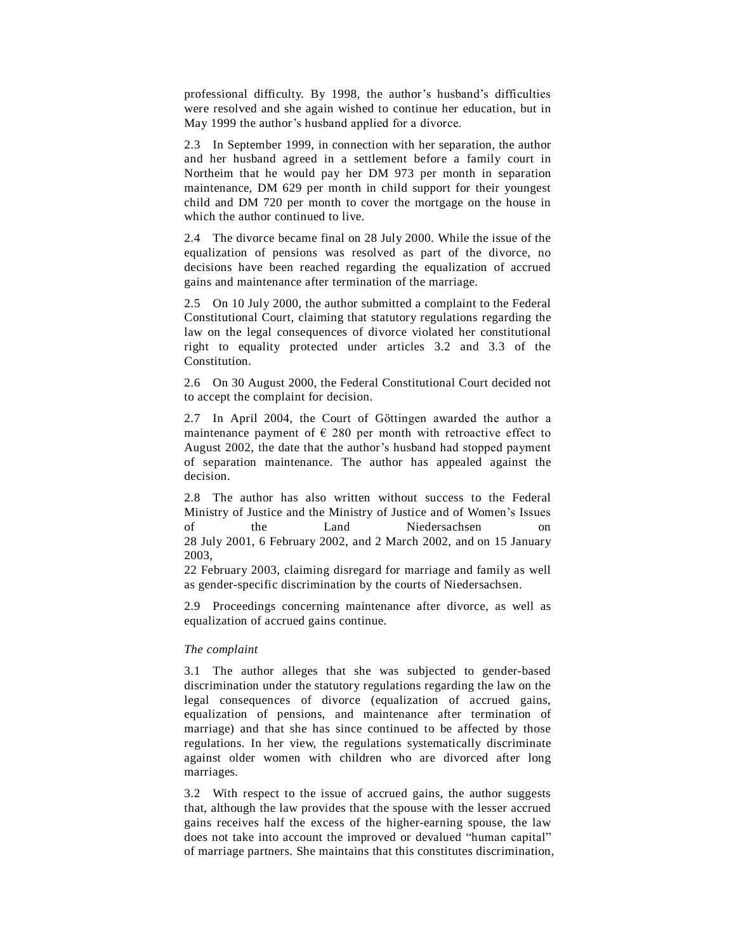professional difficulty. By 1998, the author's husband's difficulties were resolved and she again wished to continue her education, but in May 1999 the author's husband applied for a divorce.

2.3 In September 1999, in connection with her separation, the author and her husband agreed in a settlement before a family court in Northeim that he would pay her DM 973 per month in separation maintenance, DM 629 per month in child support for their youngest child and DM 720 per month to cover the mortgage on the house in which the author continued to live.

2.4 The divorce became final on 28 July 2000. While the issue of the equalization of pensions was resolved as part of the divorce, no decisions have been reached regarding the equalization of accrued gains and maintenance after termination of the marriage.

2.5 On 10 July 2000, the author submitted a complaint to the Federal Constitutional Court, claiming that statutory regulations regarding the law on the legal consequences of divorce violated her constitutional right to equality protected under articles 3.2 and 3.3 of the Constitution.

2.6 On 30 August 2000, the Federal Constitutional Court decided not to accept the complaint for decision.

2.7 In April 2004, the Court of Göttingen awarded the author a maintenance payment of  $\epsilon$  280 per month with retroactive effect to August 2002, the date that the author's husband had stopped payment of separation maintenance. The author has appealed against the decision.

2.8 The author has also written without success to the Federal Ministry of Justice and the Ministry of Justice and of Women's Issues of the Land Niedersachsen on 28 July 2001, 6 February 2002, and 2 March 2002, and on 15 January 2003,

22 February 2003, claiming disregard for marriage and family as well as gender-specific discrimination by the courts of Niedersachsen.

2.9 Proceedings concerning maintenance after divorce, as well as equalization of accrued gains continue.

#### *The complaint*

3.1 The author alleges that she was subjected to gender-based discrimination under the statutory regulations regarding the law on the legal consequences of divorce (equalization of accrued gains, equalization of pensions, and maintenance after termination of marriage) and that she has since continued to be affected by those regulations. In her view, the regulations systematically discriminate against older women with children who are divorced after long marriages.

3.2 With respect to the issue of accrued gains, the author suggests that, although the law provides that the spouse with the lesser accrued gains receives half the excess of the higher-earning spouse, the law does not take into account the improved or devalued "human capital" of marriage partners. She maintains that this constitutes discrimination,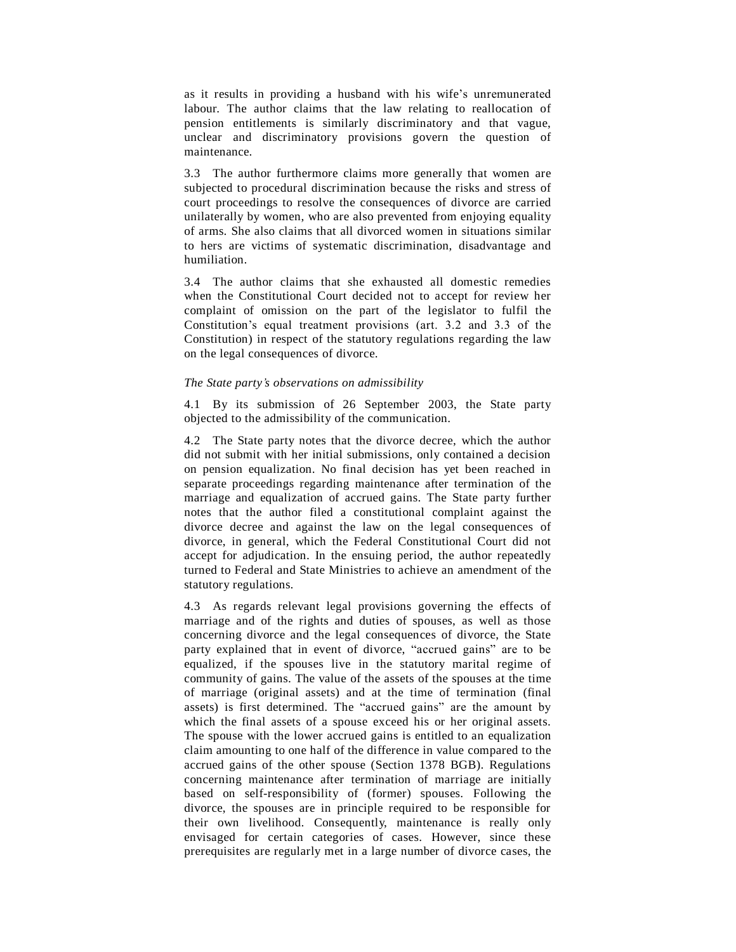as it results in providing a husband with his wife's unremunerated labour. The author claims that the law relating to reallocation of pension entitlements is similarly discriminatory and that vague, unclear and discriminatory provisions govern the question of maintenance.

3.3 The author furthermore claims more generally that women are subjected to procedural discrimination because the risks and stress of court proceedings to resolve the consequences of divorce are carried unilaterally by women, who are also prevented from enjoying equality of arms. She also claims that all divorced women in situations similar to hers are victims of systematic discrimination, disadvantage and humiliation.

3.4 The author claims that she exhausted all domestic remedies when the Constitutional Court decided not to accept for review her complaint of omission on the part of the legislator to fulfil the Constitution's equal treatment provisions (art.  $3.2$  and  $3.3$  of the Constitution) in respect of the statutory regulations regarding the law on the legal consequences of divorce.

#### *The State partyís observations on admissibility*

4.1 By its submission of 26 September 2003, the State party objected to the admissibility of the communication.

4.2 The State party notes that the divorce decree, which the author did not submit with her initial submissions, only contained a decision on pension equalization. No final decision has yet been reached in separate proceedings regarding maintenance after termination of the marriage and equalization of accrued gains. The State party further notes that the author filed a constitutional complaint against the divorce decree and against the law on the legal consequences of divorce, in general, which the Federal Constitutional Court did not accept for adjudication. In the ensuing period, the author repeatedly turned to Federal and State Ministries to achieve an amendment of the statutory regulations.

4.3 As regards relevant legal provisions governing the effects of marriage and of the rights and duties of spouses, as well as those concerning divorce and the legal consequences of divorce, the State party explained that in event of divorce, "accrued gains" are to be equalized, if the spouses live in the statutory marital regime of community of gains. The value of the assets of the spouses at the time of marriage (original assets) and at the time of termination (final assets) is first determined. The "accrued gains" are the amount by which the final assets of a spouse exceed his or her original assets. The spouse with the lower accrued gains is entitled to an equalization claim amounting to one half of the difference in value compared to the accrued gains of the other spouse (Section 1378 BGB). Regulations concerning maintenance after termination of marriage are initially based on self-responsibility of (former) spouses. Following the divorce, the spouses are in principle required to be responsible for their own livelihood. Consequently, maintenance is really only envisaged for certain categories of cases. However, since these prerequisites are regularly met in a large number of divorce cases, the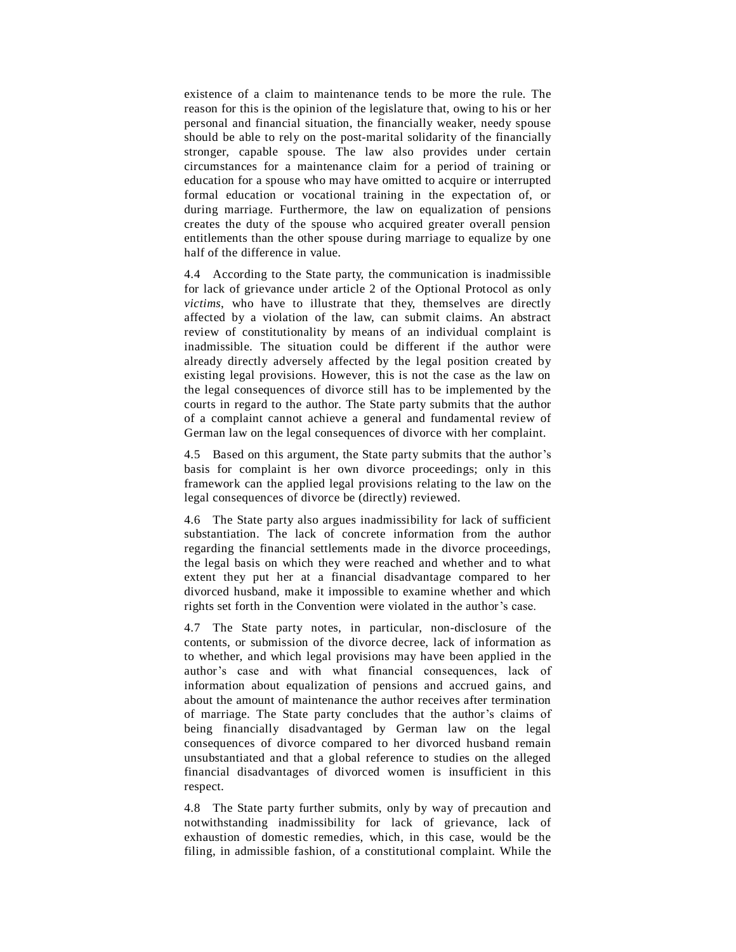existence of a claim to maintenance tends to be more the rule. The reason for this is the opinion of the legislature that, owing to his or her personal and financial situation, the financially weaker, needy spouse should be able to rely on the post-marital solidarity of the financially stronger, capable spouse. The law also provides under certain circumstances for a maintenance claim for a period of training or education for a spouse who may have omitted to acquire or interrupted formal education or vocational training in the expectation of, or during marriage. Furthermore, the law on equalization of pensions creates the duty of the spouse who acquired greater overall pension entitlements than the other spouse during marriage to equalize by one half of the difference in value.

4.4 According to the State party, the communication is inadmissible for lack of grievance under article 2 of the Optional Protocol as only *victims*, who have to illustrate that they, themselves are directly affected by a violation of the law, can submit claims. An abstract review of constitutionality by means of an individual complaint is inadmissible. The situation could be different if the author were already directly adversely affected by the legal position created by existing legal provisions. However, this is not the case as the law on the legal consequences of divorce still has to be implemented by the courts in regard to the author. The State party submits that the author of a complaint cannot achieve a general and fundamental review of German law on the legal consequences of divorce with her complaint.

4.5 Based on this argument, the State party submits that the author's basis for complaint is her own divorce proceedings; only in this framework can the applied legal provisions relating to the law on the legal consequences of divorce be (directly) reviewed.

4.6 The State party also argues inadmissibility for lack of sufficient substantiation. The lack of concrete information from the author regarding the financial settlements made in the divorce proceedings, the legal basis on which they were reached and whether and to what extent they put her at a financial disadvantage compared to her divorced husband, make it impossible to examine whether and which rights set forth in the Convention were violated in the author's case.

4.7 The State party notes, in particular, non-disclosure of the contents, or submission of the divorce decree, lack of information as to whether, and which legal provisions may have been applied in the author's case and with what financial consequences, lack of information about equalization of pensions and accrued gains, and about the amount of maintenance the author receives after termination of marriage. The State party concludes that the author's claims of being financially disadvantaged by German law on the legal consequences of divorce compared to her divorced husband remain unsubstantiated and that a global reference to studies on the alleged financial disadvantages of divorced women is insufficient in this respect.

4.8 The State party further submits, only by way of precaution and notwithstanding inadmissibility for lack of grievance, lack of exhaustion of domestic remedies, which, in this case, would be the filing, in admissible fashion, of a constitutional complaint. While the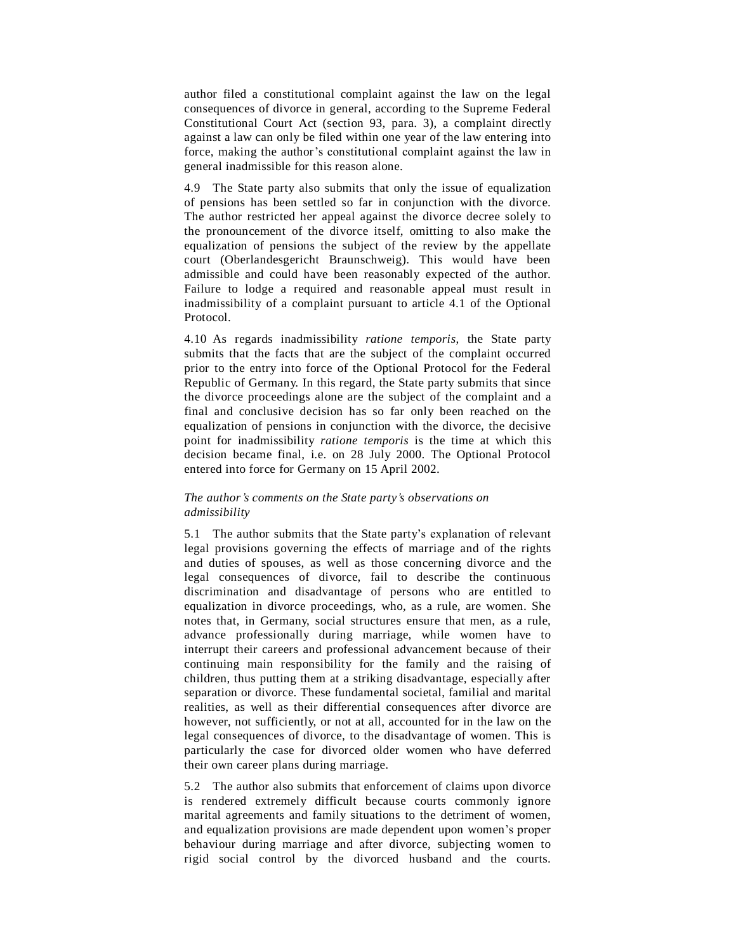author filed a constitutional complaint against the law on the legal consequences of divorce in general, according to the Supreme Federal Constitutional Court Act (section 93, para. 3), a complaint directly against a law can only be filed within one year of the law entering into force, making the author's constitutional complaint against the law in general inadmissible for this reason alone.

4.9 The State party also submits that only the issue of equalization of pensions has been settled so far in conjunction with the divorce. The author restricted her appeal against the divorce decree solely to the pronouncement of the divorce itself, omitting to also make the equalization of pensions the subject of the review by the appellate court (Oberlandesgericht Braunschweig). This would have been admissible and could have been reasonably expected of the author. Failure to lodge a required and reasonable appeal must result in inadmissibility of a complaint pursuant to article 4.1 of the Optional Protocol.

4.10 As regards inadmissibility *ratione temporis*, the State party submits that the facts that are the subject of the complaint occurred prior to the entry into force of the Optional Protocol for the Federal Republic of Germany. In this regard, the State party submits that since the divorce proceedings alone are the subject of the complaint and a final and conclusive decision has so far only been reached on the equalization of pensions in conjunction with the divorce, the decisive point for inadmissibility *ratione temporis* is the time at which this decision became final, i.e. on 28 July 2000. The Optional Protocol entered into force for Germany on 15 April 2002.

## *The authorís comments on the State partyís observations on admissibility*

5.1 The author submits that the State party's explanation of relevant legal provisions governing the effects of marriage and of the rights and duties of spouses, as well as those concerning divorce and the legal consequences of divorce, fail to describe the continuous discrimination and disadvantage of persons who are entitled to equalization in divorce proceedings, who, as a rule, are women. She notes that, in Germany, social structures ensure that men, as a rule, advance professionally during marriage, while women have to interrupt their careers and professional advancement because of their continuing main responsibility for the family and the raising of children, thus putting them at a striking disadvantage, especially after separation or divorce. These fundamental societal, familial and marital realities, as well as their differential consequences after divorce are however, not sufficiently, or not at all, accounted for in the law on the legal consequences of divorce, to the disadvantage of women. This is particularly the case for divorced older women who have deferred their own career plans during marriage.

5.2 The author also submits that enforcement of claims upon divorce is rendered extremely difficult because courts commonly ignore marital agreements and family situations to the detriment of women, and equalization provisions are made dependent upon women's proper behaviour during marriage and after divorce, subjecting women to rigid social control by the divorced husband and the courts.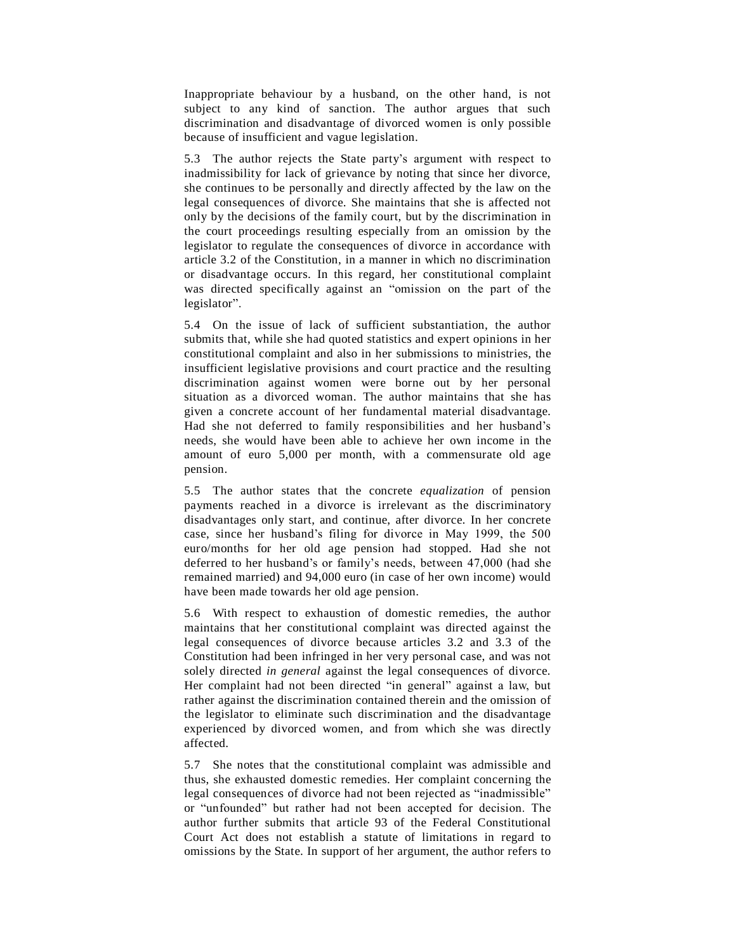Inappropriate behaviour by a husband, on the other hand, is not subject to any kind of sanction. The author argues that such discrimination and disadvantage of divorced women is only possible because of insufficient and vague legislation.

5.3 The author rejects the State partyís argument with respect to inadmissibility for lack of grievance by noting that since her divorce, she continues to be personally and directly affected by the law on the legal consequences of divorce. She maintains that she is affected not only by the decisions of the family court, but by the discrimination in the court proceedings resulting especially from an omission by the legislator to regulate the consequences of divorce in accordance with article 3.2 of the Constitution, in a manner in which no discrimination or disadvantage occurs. In this regard, her constitutional complaint was directed specifically against an "omission on the part of the legislator".

5.4 On the issue of lack of sufficient substantiation, the author submits that, while she had quoted statistics and expert opinions in her constitutional complaint and also in her submissions to ministries, the insufficient legislative provisions and court practice and the resulting discrimination against women were borne out by her personal situation as a divorced woman. The author maintains that she has given a concrete account of her fundamental material disadvantage. Had she not deferred to family responsibilities and her husband's needs, she would have been able to achieve her own income in the amount of euro 5,000 per month, with a commensurate old age pension.

5.5 The author states that the concrete *equalization* of pension payments reached in a divorce is irrelevant as the discriminatory disadvantages only start, and continue, after divorce. In her concrete case, since her husband's filing for divorce in May 1999, the 500 euro/months for her old age pension had stopped. Had she not deferred to her husband's or family's needs, between 47,000 (had she remained married) and 94,000 euro (in case of her own income) would have been made towards her old age pension.

5.6 With respect to exhaustion of domestic remedies, the author maintains that her constitutional complaint was directed against the legal consequences of divorce because articles 3.2 and 3.3 of the Constitution had been infringed in her very personal case, and was not solely directed *in general* against the legal consequences of divorce. Her complaint had not been directed "in general" against a law, but rather against the discrimination contained therein and the omission of the legislator to eliminate such discrimination and the disadvantage experienced by divorced women, and from which she was directly affected.

5.7 She notes that the constitutional complaint was admissible and thus, she exhausted domestic remedies. Her complaint concerning the legal consequences of divorce had not been rejected as "inadmissible" or "unfounded" but rather had not been accepted for decision. The author further submits that article 93 of the Federal Constitutional Court Act does not establish a statute of limitations in regard to omissions by the State. In support of her argument, the author refers to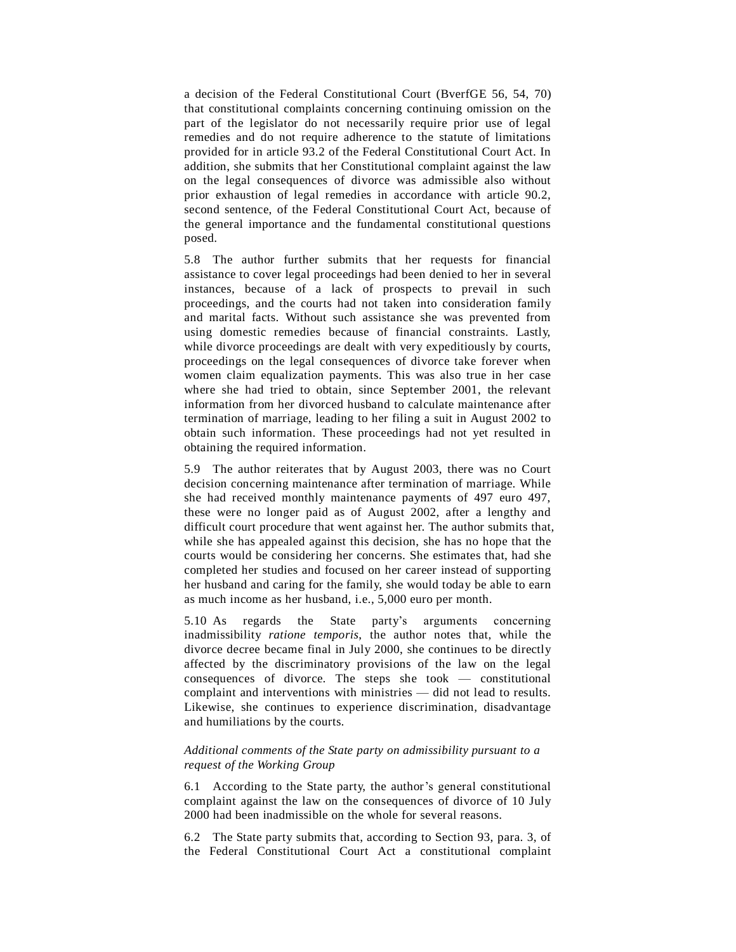a decision of the Federal Constitutional Court (BverfGE 56, 54, 70) that constitutional complaints concerning continuing omission on the part of the legislator do not necessarily require prior use of legal remedies and do not require adherence to the statute of limitations provided for in article 93.2 of the Federal Constitutional Court Act. In addition, she submits that her Constitutional complaint against the law on the legal consequences of divorce was admissible also without prior exhaustion of legal remedies in accordance with article 90.2, second sentence, of the Federal Constitutional Court Act, because of the general importance and the fundamental constitutional questions posed.

5.8 The author further submits that her requests for financial assistance to cover legal proceedings had been denied to her in several instances, because of a lack of prospects to prevail in such proceedings, and the courts had not taken into consideration family and marital facts. Without such assistance she was prevented from using domestic remedies because of financial constraints. Lastly, while divorce proceedings are dealt with very expeditiously by courts, proceedings on the legal consequences of divorce take forever when women claim equalization payments. This was also true in her case where she had tried to obtain, since September 2001, the relevant information from her divorced husband to calculate maintenance after termination of marriage, leading to her filing a suit in August 2002 to obtain such information. These proceedings had not yet resulted in obtaining the required information.

5.9 The author reiterates that by August 2003, there was no Court decision concerning maintenance after termination of marriage. While she had received monthly maintenance payments of 497 euro 497, these were no longer paid as of August 2002, after a lengthy and difficult court procedure that went against her. The author submits that, while she has appealed against this decision, she has no hope that the courts would be considering her concerns. She estimates that, had she completed her studies and focused on her career instead of supporting her husband and caring for the family, she would today be able to earn as much income as her husband, i.e., 5,000 euro per month.

5.10 As regards the State partyís arguments concerning inadmissibility *ratione temporis*, the author notes that, while the divorce decree became final in July 2000, she continues to be directly affected by the discriminatory provisions of the law on the legal consequences of divorce. The steps she took  $-$  constitutional complaint and interventions with ministries — did not lead to results. Likewise, she continues to experience discrimination, disadvantage and humiliations by the courts.

## *Additional comments of the State party on admissibility pursuant to a request of the Working Group*

6.1 According to the State party, the author's general constitutional complaint against the law on the consequences of divorce of 10 July 2000 had been inadmissible on the whole for several reasons.

6.2 The State party submits that, according to Section 93, para. 3, of the Federal Constitutional Court Act a constitutional complaint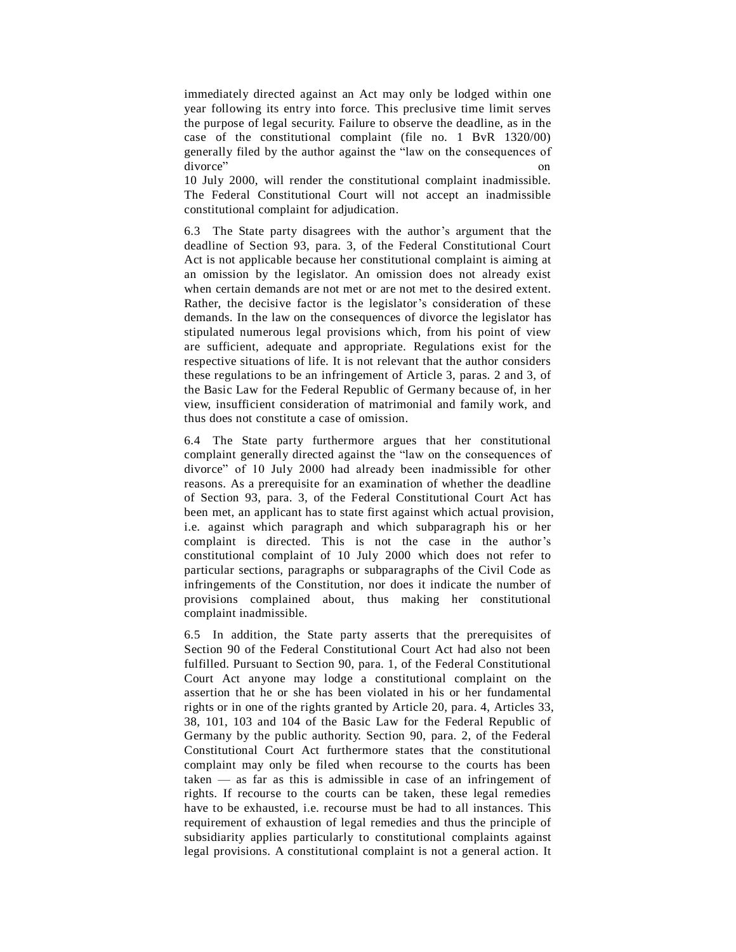immediately directed against an Act may only be lodged within one year following its entry into force. This preclusive time limit serves the purpose of legal security. Failure to observe the deadline, as in the case of the constitutional complaint (file no. 1 BvR 1320/00) generally filed by the author against the "law on the consequences of divorce" on divorce" on

10 July 2000, will render the constitutional complaint inadmissible. The Federal Constitutional Court will not accept an inadmissible constitutional complaint for adjudication.

6.3 The State party disagrees with the author's argument that the deadline of Section 93, para. 3, of the Federal Constitutional Court Act is not applicable because her constitutional complaint is aiming at an omission by the legislator. An omission does not already exist when certain demands are not met or are not met to the desired extent. Rather, the decisive factor is the legislator's consideration of these demands. In the law on the consequences of divorce the legislator has stipulated numerous legal provisions which, from his point of view are sufficient, adequate and appropriate. Regulations exist for the respective situations of life. It is not relevant that the author considers these regulations to be an infringement of Article 3, paras. 2 and 3, of the Basic Law for the Federal Republic of Germany because of, in her view, insufficient consideration of matrimonial and family work, and thus does not constitute a case of omission.

6.4 The State party furthermore argues that her constitutional complaint generally directed against the "law on the consequences of divorce" of 10 July 2000 had already been inadmissible for other reasons. As a prerequisite for an examination of whether the deadline of Section 93, para. 3, of the Federal Constitutional Court Act has been met, an applicant has to state first against which actual provision, i.e. against which paragraph and which subparagraph his or her complaint is directed. This is not the case in the author's constitutional complaint of 10 July 2000 which does not refer to particular sections, paragraphs or subparagraphs of the Civil Code as infringements of the Constitution, nor does it indicate the number of provisions complained about, thus making her constitutional complaint inadmissible.

6.5 In addition, the State party asserts that the prerequisites of Section 90 of the Federal Constitutional Court Act had also not been fulfilled. Pursuant to Section 90, para. 1, of the Federal Constitutional Court Act anyone may lodge a constitutional complaint on the assertion that he or she has been violated in his or her fundamental rights or in one of the rights granted by Article 20, para. 4, Articles 33, 38, 101, 103 and 104 of the Basic Law for the Federal Republic of Germany by the public authority. Section 90, para. 2, of the Federal Constitutional Court Act furthermore states that the constitutional complaint may only be filed when recourse to the courts has been  $taken - as far as this is admissible in case of an infringement of$ rights. If recourse to the courts can be taken, these legal remedies have to be exhausted, i.e. recourse must be had to all instances. This requirement of exhaustion of legal remedies and thus the principle of subsidiarity applies particularly to constitutional complaints against legal provisions. A constitutional complaint is not a general action. It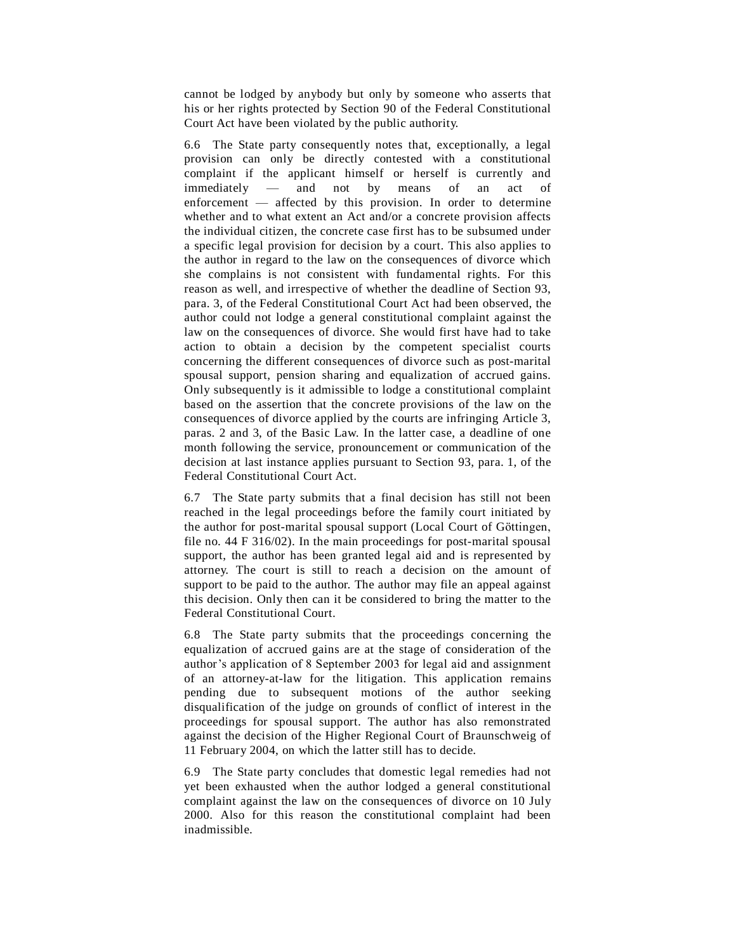cannot be lodged by anybody but only by someone who asserts that his or her rights protected by Section 90 of the Federal Constitutional Court Act have been violated by the public authority.

6.6 The State party consequently notes that, exceptionally, a legal provision can only be directly contested with a constitutional complaint if the applicant himself or herself is currently and immediately — and not by means of an act of enforcement  $-$  affected by this provision. In order to determine whether and to what extent an Act and/or a concrete provision affects the individual citizen, the concrete case first has to be subsumed under a specific legal provision for decision by a court. This also applies to the author in regard to the law on the consequences of divorce which she complains is not consistent with fundamental rights. For this reason as well, and irrespective of whether the deadline of Section 93, para. 3, of the Federal Constitutional Court Act had been observed, the author could not lodge a general constitutional complaint against the law on the consequences of divorce. She would first have had to take action to obtain a decision by the competent specialist courts concerning the different consequences of divorce such as post-marital spousal support, pension sharing and equalization of accrued gains. Only subsequently is it admissible to lodge a constitutional complaint based on the assertion that the concrete provisions of the law on the consequences of divorce applied by the courts are infringing Article 3, paras. 2 and 3, of the Basic Law. In the latter case, a deadline of one month following the service, pronouncement or communication of the decision at last instance applies pursuant to Section 93, para. 1, of the Federal Constitutional Court Act.

6.7 The State party submits that a final decision has still not been reached in the legal proceedings before the family court initiated by the author for post-marital spousal support (Local Court of Göttingen, file no. 44 F 316/02). In the main proceedings for post-marital spousal support, the author has been granted legal aid and is represented by attorney. The court is still to reach a decision on the amount of support to be paid to the author. The author may file an appeal against this decision. Only then can it be considered to bring the matter to the Federal Constitutional Court.

6.8 The State party submits that the proceedings concerning the equalization of accrued gains are at the stage of consideration of the author's application of 8 September 2003 for legal aid and assignment of an attorney-at-law for the litigation. This application remains pending due to subsequent motions of the author seeking disqualification of the judge on grounds of conflict of interest in the proceedings for spousal support. The author has also remonstrated against the decision of the Higher Regional Court of Braunschweig of 11 February 2004, on which the latter still has to decide.

6.9 The State party concludes that domestic legal remedies had not yet been exhausted when the author lodged a general constitutional complaint against the law on the consequences of divorce on 10 July 2000. Also for this reason the constitutional complaint had been inadmissible.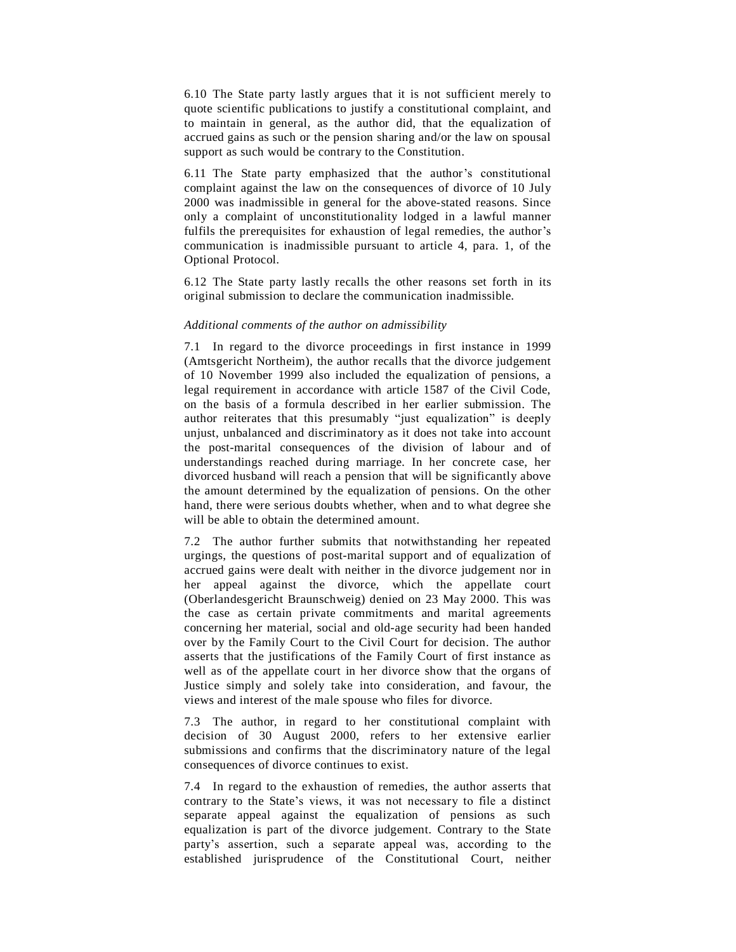6.10 The State party lastly argues that it is not sufficient merely to quote scientific publications to justify a constitutional complaint, and to maintain in general, as the author did, that the equalization of accrued gains as such or the pension sharing and/or the law on spousal support as such would be contrary to the Constitution.

6.11 The State party emphasized that the author's constitutional complaint against the law on the consequences of divorce of 10 July 2000 was inadmissible in general for the above-stated reasons. Since only a complaint of unconstitutionality lodged in a lawful manner fulfils the prerequisites for exhaustion of legal remedies, the author's communication is inadmissible pursuant to article 4, para. 1, of the Optional Protocol.

6.12 The State party lastly recalls the other reasons set forth in its original submission to declare the communication inadmissible.

#### *Additional comments of the author on admissibility*

7.1 In regard to the divorce proceedings in first instance in 1999 (Amtsgericht Northeim), the author recalls that the divorce judgement of 10 November 1999 also included the equalization of pensions, a legal requirement in accordance with article 1587 of the Civil Code, on the basis of a formula described in her earlier submission. The author reiterates that this presumably "just equalization" is deeply unjust, unbalanced and discriminatory as it does not take into account the post-marital consequences of the division of labour and of understandings reached during marriage. In her concrete case, her divorced husband will reach a pension that will be significantly above the amount determined by the equalization of pensions. On the other hand, there were serious doubts whether, when and to what degree she will be able to obtain the determined amount.

7.2 The author further submits that notwithstanding her repeated urgings, the questions of post-marital support and of equalization of accrued gains were dealt with neither in the divorce judgement nor in her appeal against the divorce, which the appellate court (Oberlandesgericht Braunschweig) denied on 23 May 2000. This was the case as certain private commitments and marital agreements concerning her material, social and old-age security had been handed over by the Family Court to the Civil Court for decision. The author asserts that the justifications of the Family Court of first instance as well as of the appellate court in her divorce show that the organs of Justice simply and solely take into consideration, and favour, the views and interest of the male spouse who files for divorce.

7.3 The author, in regard to her constitutional complaint with decision of 30 August 2000, refers to her extensive earlier submissions and confirms that the discriminatory nature of the legal consequences of divorce continues to exist.

7.4 In regard to the exhaustion of remedies, the author asserts that contrary to the State's views, it was not necessary to file a distinct separate appeal against the equalization of pensions as such equalization is part of the divorce judgement. Contrary to the State party's assertion, such a separate appeal was, according to the established jurisprudence of the Constitutional Court, neither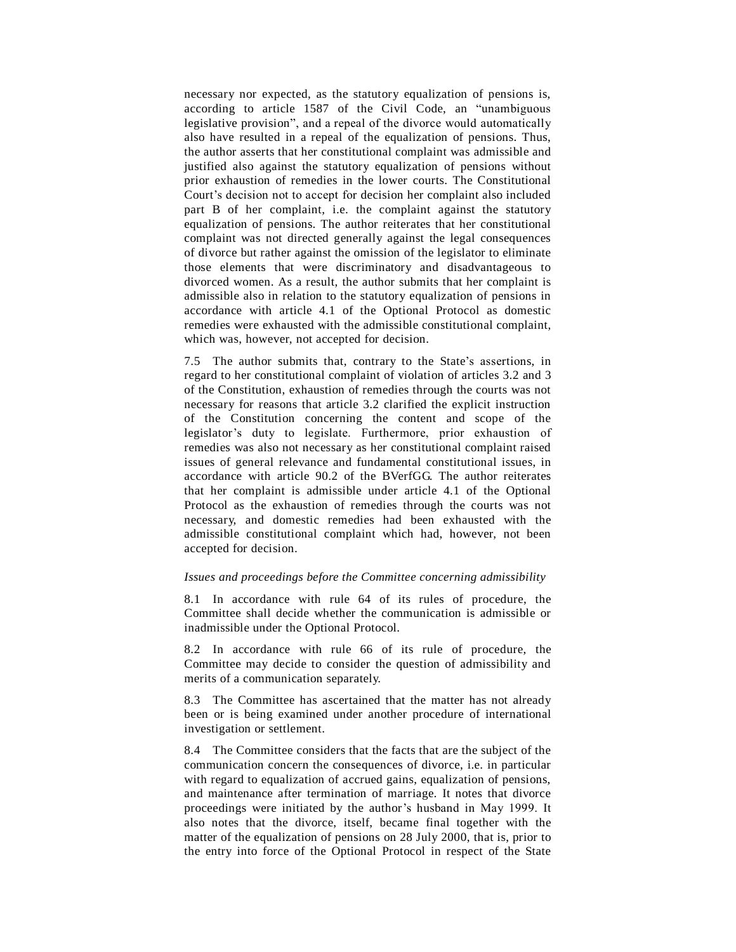necessary nor expected, as the statutory equalization of pensions is, according to article 1587 of the Civil Code, an "unambiguous legislative provision", and a repeal of the divorce would automatically also have resulted in a repeal of the equalization of pensions. Thus, the author asserts that her constitutional complaint was admissible and justified also against the statutory equalization of pensions without prior exhaustion of remedies in the lower courts. The Constitutional Court's decision not to accept for decision her complaint also included part B of her complaint, i.e. the complaint against the statutory equalization of pensions. The author reiterates that her constitutional complaint was not directed generally against the legal consequences of divorce but rather against the omission of the legislator to eliminate those elements that were discriminatory and disadvantageous to divorced women. As a result, the author submits that her complaint is admissible also in relation to the statutory equalization of pensions in accordance with article 4.1 of the Optional Protocol as domestic remedies were exhausted with the admissible constitutional complaint, which was, however, not accepted for decision.

7.5 The author submits that, contrary to the State's assertions, in regard to her constitutional complaint of violation of articles 3.2 and 3 of the Constitution, exhaustion of remedies through the courts was not necessary for reasons that article 3.2 clarified the explicit instruction of the Constitution concerning the content and scope of the legislator's duty to legislate. Furthermore, prior exhaustion of remedies was also not necessary as her constitutional complaint raised issues of general relevance and fundamental constitutional issues, in accordance with article 90.2 of the BVerfGG. The author reiterates that her complaint is admissible under article 4.1 of the Optional Protocol as the exhaustion of remedies through the courts was not necessary, and domestic remedies had been exhausted with the admissible constitutional complaint which had, however, not been accepted for decision.

### *Issues and proceedings before the Committee concerning admissibility*

8.1 In accordance with rule 64 of its rules of procedure, the Committee shall decide whether the communication is admissible or inadmissible under the Optional Protocol.

8.2 In accordance with rule 66 of its rule of procedure, the Committee may decide to consider the question of admissibility and merits of a communication separately.

8.3 The Committee has ascertained that the matter has not already been or is being examined under another procedure of international investigation or settlement.

8.4 The Committee considers that the facts that are the subject of the communication concern the consequences of divorce, i.e. in particular with regard to equalization of accrued gains, equalization of pensions, and maintenance after termination of marriage. It notes that divorce proceedings were initiated by the author's husband in May 1999. It also notes that the divorce, itself, became final together with the matter of the equalization of pensions on 28 July 2000, that is, prior to the entry into force of the Optional Protocol in respect of the State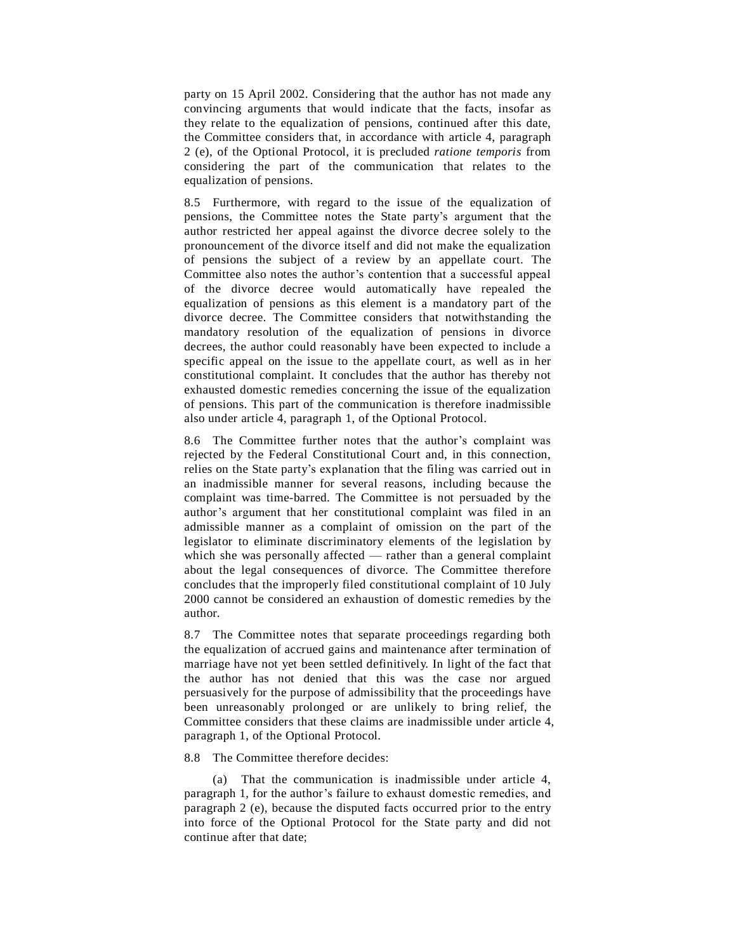party on 15 April 2002. Considering that the author has not made any convincing arguments that would indicate that the facts, insofar as they relate to the equalization of pensions, continued after this date, the Committee considers that, in accordance with article 4, paragraph 2 (e), of the Optional Protocol, it is precluded *ratione temporis* from considering the part of the communication that relates to the equalization of pensions.

8.5 Furthermore, with regard to the issue of the equalization of pensions, the Committee notes the State party's argument that the author restricted her appeal against the divorce decree solely to the pronouncement of the divorce itself and did not make the equalization of pensions the subject of a review by an appellate court. The Committee also notes the author's contention that a successful appeal of the divorce decree would automatically have repealed the equalization of pensions as this element is a mandatory part of the divorce decree. The Committee considers that notwithstanding the mandatory resolution of the equalization of pensions in divorce decrees, the author could reasonably have been expected to include a specific appeal on the issue to the appellate court, as well as in her constitutional complaint. It concludes that the author has thereby not exhausted domestic remedies concerning the issue of the equalization of pensions. This part of the communication is therefore inadmissible also under article 4, paragraph 1, of the Optional Protocol.

8.6 The Committee further notes that the author's complaint was rejected by the Federal Constitutional Court and, in this connection, relies on the State party's explanation that the filing was carried out in an inadmissible manner for several reasons, including because the complaint was time-barred. The Committee is not persuaded by the author's argument that her constitutional complaint was filed in an admissible manner as a complaint of omission on the part of the legislator to eliminate discriminatory elements of the legislation by which she was personally affected  $-$  rather than a general complaint about the legal consequences of divorce. The Committee therefore concludes that the improperly filed constitutional complaint of 10 July 2000 cannot be considered an exhaustion of domestic remedies by the author.

8.7 The Committee notes that separate proceedings regarding both the equalization of accrued gains and maintenance after termination of marriage have not yet been settled definitively. In light of the fact that the author has not denied that this was the case nor argued persuasively for the purpose of admissibility that the proceedings have been unreasonably prolonged or are unlikely to bring relief, the Committee considers that these claims are inadmissible under article 4, paragraph 1, of the Optional Protocol.

8.8 The Committee therefore decides:

(a) That the communication is inadmissible under article 4, paragraph 1, for the author's failure to exhaust domestic remedies, and paragraph 2 (e), because the disputed facts occurred prior to the entry into force of the Optional Protocol for the State party and did not continue after that date;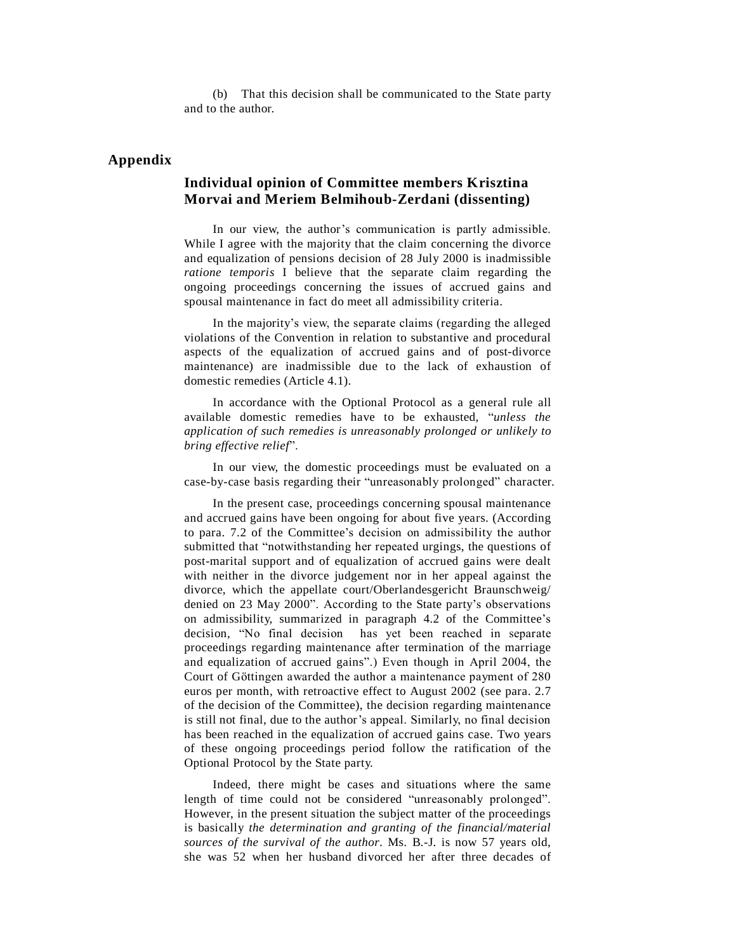(b) That this decision shall be communicated to the State party and to the author.

## **Appendix**

## **Individual opinion of Committee members Krisztina Morvai and Meriem Belmihoub-Zerdani (dissenting)**

In our view, the author's communication is partly admissible. While I agree with the majority that the claim concerning the divorce and equalization of pensions decision of 28 July 2000 is inadmissible *ratione temporis* I believe that the separate claim regarding the ongoing proceedings concerning the issues of accrued gains and spousal maintenance in fact do meet all admissibility criteria.

In the majority's view, the separate claims (regarding the alleged violations of the Convention in relation to substantive and procedural aspects of the equalization of accrued gains and of post-divorce maintenance) are inadmissible due to the lack of exhaustion of domestic remedies (Article 4.1).

In accordance with the Optional Protocol as a general rule all available domestic remedies have to be exhausted, "unless the *application of such remedies is unreasonably prolonged or unlikely to bring ef ective relief*î.

In our view, the domestic proceedings must be evaluated on a case-by-case basis regarding their "unreasonably prolonged" character.

In the present case, proceedings concerning spousal maintenance and accrued gains have been ongoing for about five years. (According to para. 7.2 of the Committee's decision on admissibility the author submitted that "notwithstanding her repeated urgings, the questions of post-marital support and of equalization of accrued gains were dealt with neither in the divorce judgement nor in her appeal against the divorce, which the appellate court/Oberlandesgericht Braunschweig/ denied on 23 May 2000". According to the State party's observations on admissibility, summarized in paragraph 4.2 of the Committee's decision, "No final decision has yet been reached in separate proceedings regarding maintenance after termination of the marriage and equalization of accrued gains".) Even though in April 2004, the Court of Göttingen awarded the author a maintenance payment of 280 euros per month, with retroactive effect to August 2002 (see para. 2.7 of the decision of the Committee), the decision regarding maintenance is still not final, due to the author's appeal. Similarly, no final decision has been reached in the equalization of accrued gains case. Two years of these ongoing proceedings period follow the ratification of the Optional Protocol by the State party.

Indeed, there might be cases and situations where the same length of time could not be considered "unreasonably prolonged". However, in the present situation the subject matter of the proceedings is basically *the determination and granting of the financial/material sources of the survival of the author*. Ms. B.-J. is now 57 years old, she was 52 when her husband divorced her after three decades of